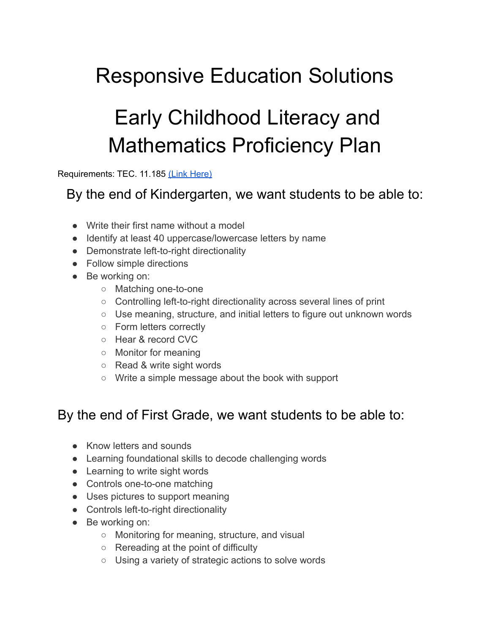# Responsive Education Solutions

# Early Childhood Literacy and Mathematics Proficiency Plan

Requirements: TEC. 11.185 (Link [Here\)](https://tea.texas.gov/sites/default/files/TEC%2011.185.pdf)

By the end of Kindergarten, we want students to be able to:

- Write their first name without a model
- Identify at least 40 uppercase/lowercase letters by name
- Demonstrate left-to-right directionality
- Follow simple directions
- Be working on:
	- Matching one-to-one
	- Controlling left-to-right directionality across several lines of print
	- Use meaning, structure, and initial letters to figure out unknown words
	- Form letters correctly
	- Hear & record CVC
	- Monitor for meaning
	- Read & write sight words
	- Write a simple message about the book with support

## By the end of First Grade, we want students to be able to:

- Know letters and sounds
- Learning foundational skills to decode challenging words
- Learning to write sight words
- Controls one-to-one matching
- Uses pictures to support meaning
- Controls left-to-right directionality
- Be working on:
	- Monitoring for meaning, structure, and visual
	- Rereading at the point of difficulty
	- Using a variety of strategic actions to solve words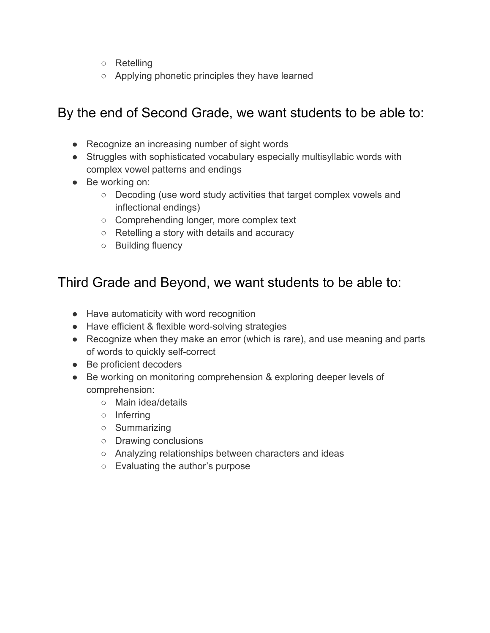- Retelling
- Applying phonetic principles they have learned

## By the end of Second Grade, we want students to be able to:

- Recognize an increasing number of sight words
- Struggles with sophisticated vocabulary especially multisyllabic words with complex vowel patterns and endings
- Be working on:
	- Decoding (use word study activities that target complex vowels and inflectional endings)
	- Comprehending longer, more complex text
	- Retelling a story with details and accuracy
	- Building fluency

## Third Grade and Beyond, we want students to be able to:

- Have automaticity with word recognition
- Have efficient & flexible word-solving strategies
- Recognize when they make an error (which is rare), and use meaning and parts of words to quickly self-correct
- Be proficient decoders
- Be working on monitoring comprehension & exploring deeper levels of comprehension:
	- Main idea/details
	- Inferring
	- Summarizing
	- Drawing conclusions
	- Analyzing relationships between characters and ideas
	- Evaluating the author's purpose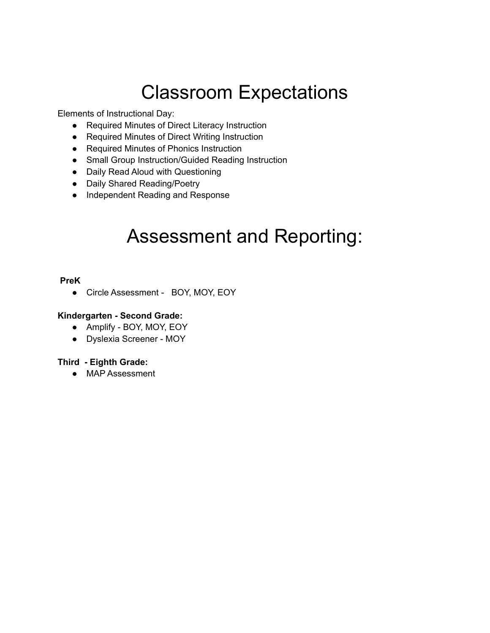# Classroom Expectations

Elements of Instructional Day:

- Required Minutes of Direct Literacy Instruction
- Required Minutes of Direct Writing Instruction
- Required Minutes of Phonics Instruction
- Small Group Instruction/Guided Reading Instruction
- Daily Read Aloud with Questioning
- Daily Shared Reading/Poetry
- Independent Reading and Response

## Assessment and Reporting:

### **PreK**

• Circle Assessment - BOY, MOY, EOY

## **Kindergarten - Second Grade:**

- Amplify BOY, MOY, EOY
- Dyslexia Screener MOY

## **Third - Eighth Grade:**

● MAP Assessment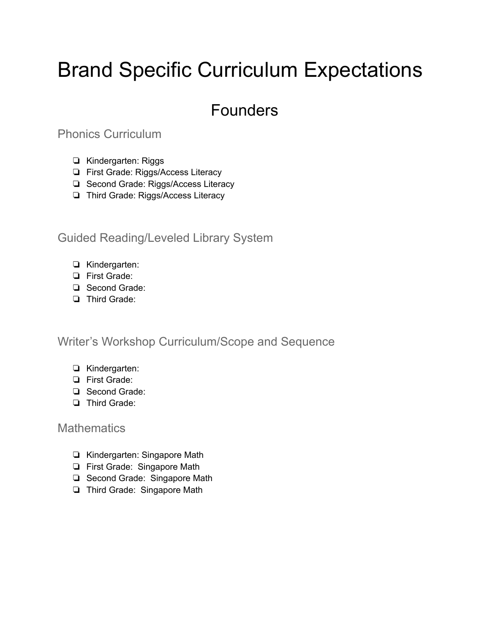# Brand Specific Curriculum Expectations

## Founders

Phonics Curriculum

- ❏ Kindergarten: Riggs
- ❏ First Grade: Riggs/Access Literacy
- ❏ Second Grade: Riggs/Access Literacy
- ❏ Third Grade: Riggs/Access Literacy

Guided Reading/Leveled Library System

- ❏ Kindergarten:
- ❏ First Grade:
- ❏ Second Grade:
- ❏ Third Grade:

Writer's Workshop Curriculum/Scope and Sequence

- ❏ Kindergarten:
- ❏ First Grade:
- ❏ Second Grade:
- ❏ Third Grade:

## **Mathematics**

- ❏ Kindergarten: Singapore Math
- ❏ First Grade: Singapore Math
- ❏ Second Grade: Singapore Math
- ❏ Third Grade: Singapore Math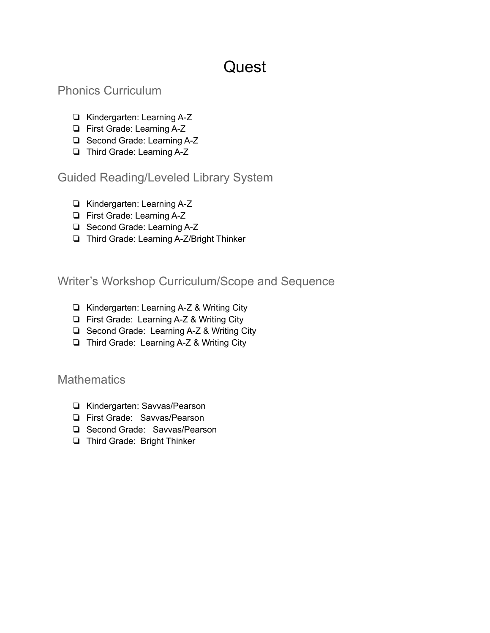## **Quest**

## Phonics Curriculum

- ❏ Kindergarten: Learning A-Z
- ❏ First Grade: Learning A-Z
- ❏ Second Grade: Learning A-Z
- ❏ Third Grade: Learning A-Z

Guided Reading/Leveled Library System

- ❏ Kindergarten: Learning A-Z
- ❏ First Grade: Learning A-Z
- ❏ Second Grade: Learning A-Z
- ❏ Third Grade: Learning A-Z/Bright Thinker

Writer's Workshop Curriculum/Scope and Sequence

- ❏ Kindergarten: Learning A-Z & Writing City
- ❏ First Grade: Learning A-Z & Writing City
- ❏ Second Grade: Learning A-Z & Writing City
- ❏ Third Grade: Learning A-Z & Writing City

## **Mathematics**

- ❏ Kindergarten: Savvas/Pearson
- ❏ First Grade: Savvas/Pearson
- ❏ Second Grade: Savvas/Pearson
- ❏ Third Grade: Bright Thinker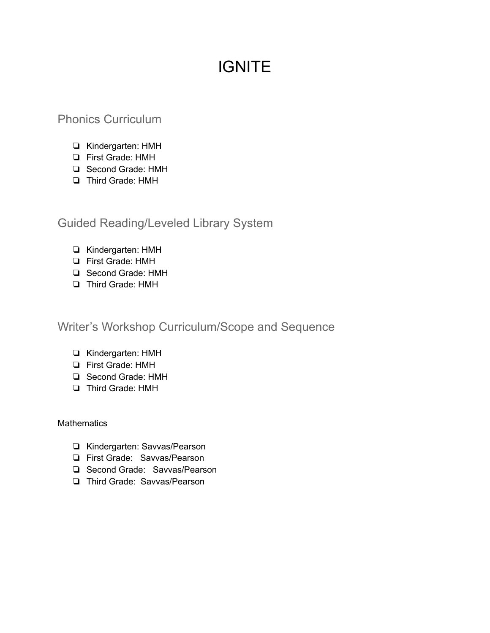## **IGNITE**

## Phonics Curriculum

- ❏ Kindergarten: HMH
- ❏ First Grade: HMH
- ❏ Second Grade: HMH
- ❏ Third Grade: HMH

## Guided Reading/Leveled Library System

- ❏ Kindergarten: HMH
- ❏ First Grade: HMH
- ❏ Second Grade: HMH
- ❏ Third Grade: HMH

Writer's Workshop Curriculum/Scope and Sequence

- ❏ Kindergarten: HMH
- ❏ First Grade: HMH
- ❏ Second Grade: HMH
- ❏ Third Grade: HMH

## **Mathematics**

- ❏ Kindergarten: Savvas/Pearson
- ❏ First Grade: Savvas/Pearson
- ❏ Second Grade: Savvas/Pearson
- ❏ Third Grade: Savvas/Pearson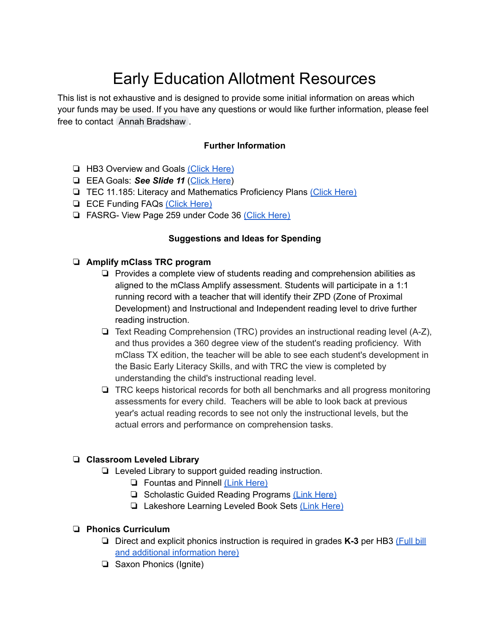## Early Education Allotment Resources

This list is not exhaustive and is designed to provide some initial information on areas which your funds may be used. If you have any questions or would like further information, please feel free to contact Annah [Bradshaw](mailto:abradshaw@responsiveed.com) .

### **Further Information**

- ❏ HB3 Overview and Goals [\(Click](https://tea.texas.gov/sites/default/files/HB3_Bill_Summary.pdf) Here)
- ❏ EEA Goals: *See Slide 11* (Click [Here\)](https://www.esc1.net/cms/lib/TZ21000366/Centricity/Domain/54/PIC_ing%20and%20Allocating%20the%20Right%20Expenditures.pdf)
- ❏ TEC 11.185: Literacy and Mathematics Proficiency Plans (Click [Here\)](https://tea.texas.gov/sites/default/files/TEC%2011.185.pdf)
- ❏ ECE Funding FAQs (Click [Here\)](https://drive.google.com/file/d/1WWZUqzlrTMG1QPLmuayqyCMMF4ZJgpl8/view)
- ❏ FASRG- View Page 259 under Code 36 (Click [Here\)](https://tea.texas.gov/sites/default/files/FASRG_Module1Appendices_V17_Proposed.pdf)

#### **Suggestions and Ideas for Spending**

#### ❏ **Amplify mClass TRC program**

- ❏ Provides a complete view of students reading and comprehension abilities as aligned to the mClass Amplify assessment. Students will participate in a 1:1 running record with a teacher that will identify their ZPD (Zone of Proximal Development) and Instructional and Independent reading level to drive further reading instruction.
- ❏ Text Reading Comprehension (TRC) provides an instructional reading level (A-Z), and thus provides a 360 degree view of the student's reading proficiency. With mClass TX edition, the teacher will be able to see each student's development in the Basic Early Literacy Skills, and with TRC the view is completed by understanding the child's instructional reading level.
- ❏ TRC keeps historical records for both all benchmarks and all progress monitoring assessments for every child. Teachers will be able to look back at previous year's actual reading records to see not only the instructional levels, but the actual errors and performance on comprehension tasks.

#### ❏ **Classroom Leveled Library**

- ❏ Leveled Library to support guided reading instruction.
	- ❏ Fountas and Pinnell (Link [Here\)](https://www.fountasandpinnell.com/fpc/guidedreading/)
	- ❏ Scholastic Guided Reading Programs (Link [Here\)](https://www.scholastic.com/content/educators/en/learn/guided-reading.html)
	- ❏ Lakeshore Learning Leveled Book Sets (Link [Here\)](https://www.lakeshorelearning.com/search/products/page-1/sort-best/num-24/loc-018?view=grid&Ntt=leveled%20books)

### ❏ **Phonics Curriculum**

- ❏ Direct and explicit phonics instruction is required in grades **K-3** per HB3 [\(Full](https://tea.texas.gov/about-tea/news-and-multimedia/correspondence/taa-letters/house-bill-3-hb-3-implementation-reading-practices) bill and additional [information](https://tea.texas.gov/about-tea/news-and-multimedia/correspondence/taa-letters/house-bill-3-hb-3-implementation-reading-practices) here)
- ❏ Saxon Phonics (Ignite)